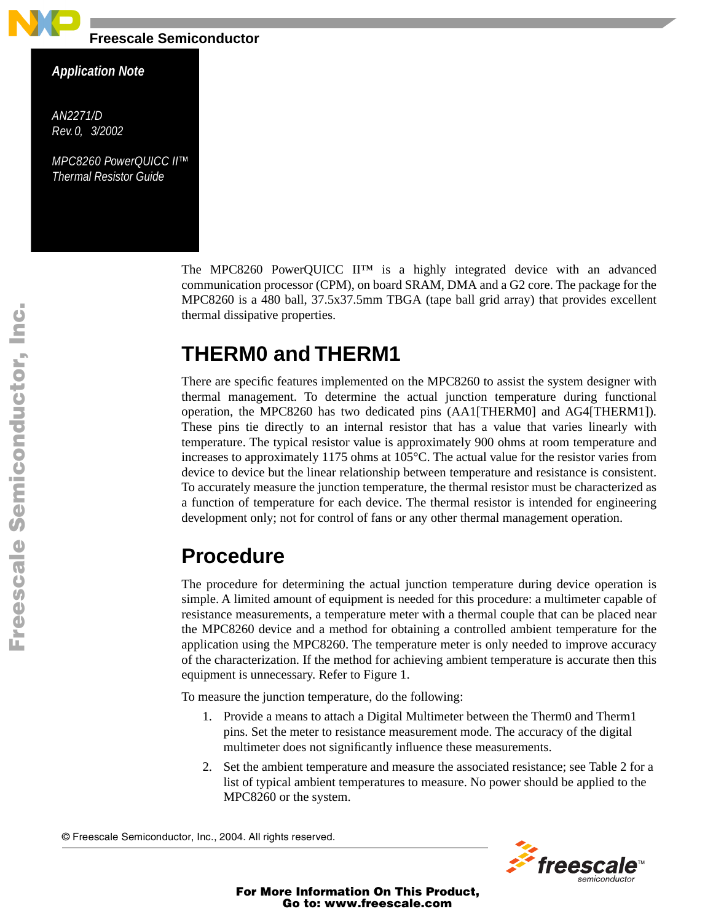

**Freescale Semiconductor**

## *Application Note*

*AN2271/D Rev. 0, 3/2002*

*MPC8260 PowerQUICC II™ Thermal Resistor Guide*

> The MPC8260 PowerQUICC II<sup>™</sup> is a highly integrated device with an advanced communication processor (CPM), on board SRAM, DMA and a G2 core. The package for the MPC8260 is a 480 ball, 37.5x37.5mm TBGA (tape ball grid array) that provides excellent thermal dissipative properties.

# **THERM0 and THERM1**

There are specific features implemented on the MPC8260 to assist the system designer with thermal management. To determine the actual junction temperature during functional operation, the MPC8260 has two dedicated pins (AA1[THERM0] and AG4[THERM1]). These pins tie directly to an internal resistor that has a value that varies linearly with temperature. The typical resistor value is approximately 900 ohms at room temperature and increases to approximately 1175 ohms at 105°C. The actual value for the resistor varies from device to device but the linear relationship between temperature and resistance is consistent. To accurately measure the junction temperature, the thermal resistor must be characterized as a function of temperature for each device. The thermal resistor is intended for engineering development only; not for control of fans or any other thermal management operation.

# **Procedure**

The procedure for determining the actual junction temperature during device operation is simple. A limited amount of equipment is needed for this procedure: a multimeter capable of resistance measurements, a temperature meter with a thermal couple that can be placed near the MPC8260 device and a method for obtaining a controlled ambient temperature for the application using the MPC8260. The temperature meter is only needed to improve accuracy of the characterization. If the method for achieving ambient temperature is accurate then this equipment is unnecessary. Refer to [Figure 1](#page-1-0).

To measure the junction temperature, do the following:

- 1. Provide a means to attach a Digital Multimeter between the Therm0 and Therm1 pins. Set the meter to resistance measurement mode. The accuracy of the digital multimeter does not significantly influence these measurements.
- 2. Set the ambient temperature and measure the associated resistance; see [Table 2](#page-2-0) for a list of typical ambient temperatures to measure. No power should be applied to the MPC8260 or the system.

© Freescale Semiconductor, Inc., 2004. All rights reserved.



For More Information On This Product, Go to: www.freescale.com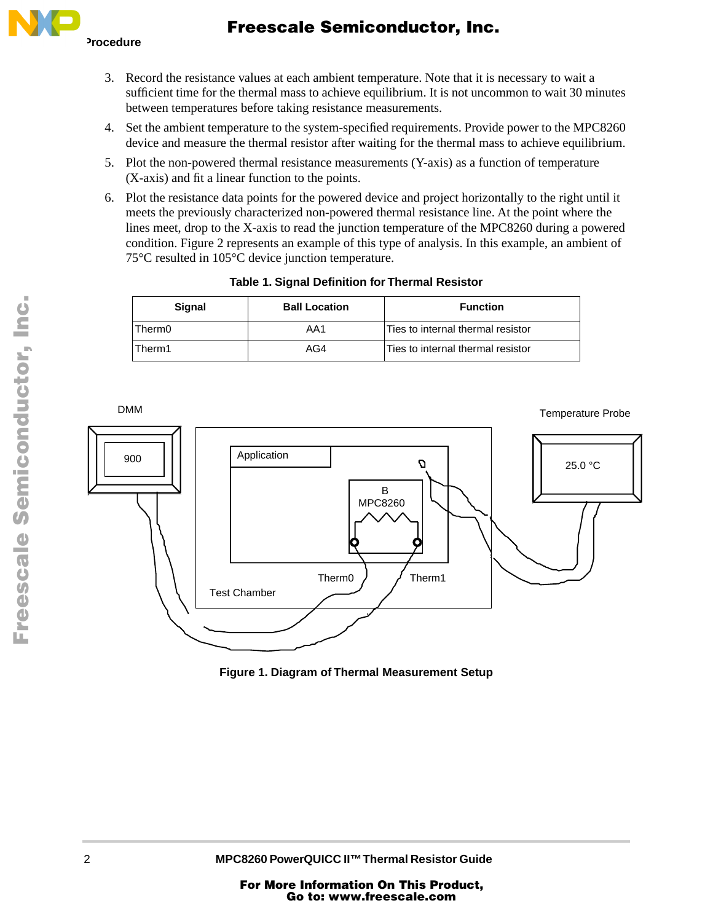# Freescale Semiconductor, Inc.



- 3. Record the resistance values at each ambient temperature. Note that it is necessary to wait a sufficient time for the thermal mass to achieve equilibrium. It is not uncommon to wait 30 minutes between temperatures before taking resistance measurements.
- 4. Set the ambient temperature to the system-specified requirements. Provide power to the MPC8260 device and measure the thermal resistor after waiting for the thermal mass to achieve equilibrium.
- 5. Plot the non-powered thermal resistance measurements (Y-axis) as a function of temperature (X-axis) and fit a linear function to the points.
- 6. Plot the resistance data points for the powered device and project horizontally to the right until it meets the previously characterized non-powered thermal resistance line. At the point where the lines meet, drop to the X-axis to read the junction temperature of the MPC8260 during a powered condition. [Figure 2](#page-2-1) represents an example of this type of analysis. In this example, an ambient of 75°C resulted in 105°C device junction temperature.

| Sianal | <b>Ball Location</b> | <b>Function</b>                   |
|--------|----------------------|-----------------------------------|
| Therm0 | AA1                  | Ties to internal thermal resistor |
| Therm1 | AG4                  | Ties to internal thermal resistor |

## **Table 1. Signal Definition for Thermal Resistor**



<span id="page-1-0"></span>**Figure 1. Diagram of Thermal Measurement Setup**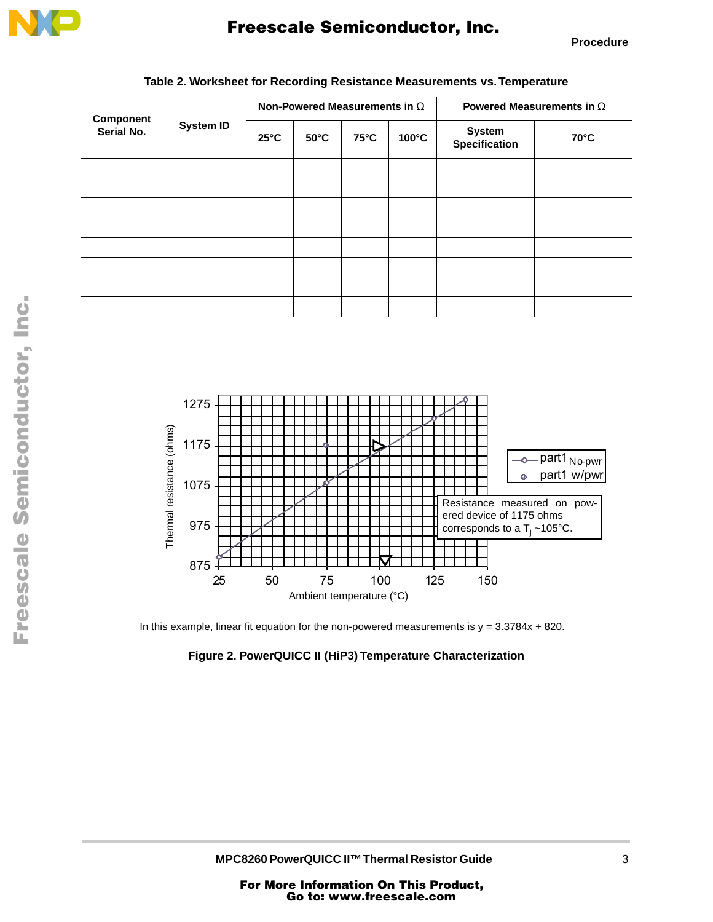

# Freescale Semiconductor, Inc.

**Procedure**

<span id="page-2-0"></span>

| <b>Component</b><br>Serial No. | <b>System ID</b> | Non-Powered Measurements in $\Omega$ |                |                |                 | Powered Measurements in $\Omega$      |                |
|--------------------------------|------------------|--------------------------------------|----------------|----------------|-----------------|---------------------------------------|----------------|
|                                |                  | $25^{\circ}$ C                       | $50^{\circ}$ C | $75^{\circ}$ C | $100^{\circ}$ C | <b>System</b><br><b>Specification</b> | $70^{\circ}$ C |
|                                |                  |                                      |                |                |                 |                                       |                |
|                                |                  |                                      |                |                |                 |                                       |                |
|                                |                  |                                      |                |                |                 |                                       |                |
|                                |                  |                                      |                |                |                 |                                       |                |
|                                |                  |                                      |                |                |                 |                                       |                |
|                                |                  |                                      |                |                |                 |                                       |                |
|                                |                  |                                      |                |                |                 |                                       |                |
|                                |                  |                                      |                |                |                 |                                       |                |

### **Table 2. Worksheet for Recording Resistance Measurements vs. Temperature**





<span id="page-2-1"></span>In this example, linear fit equation for the non-powered measurements is  $y = 3.3784x + 820$ .

### **Figure 2. PowerQUICC II (HiP3) Temperature Characterization**